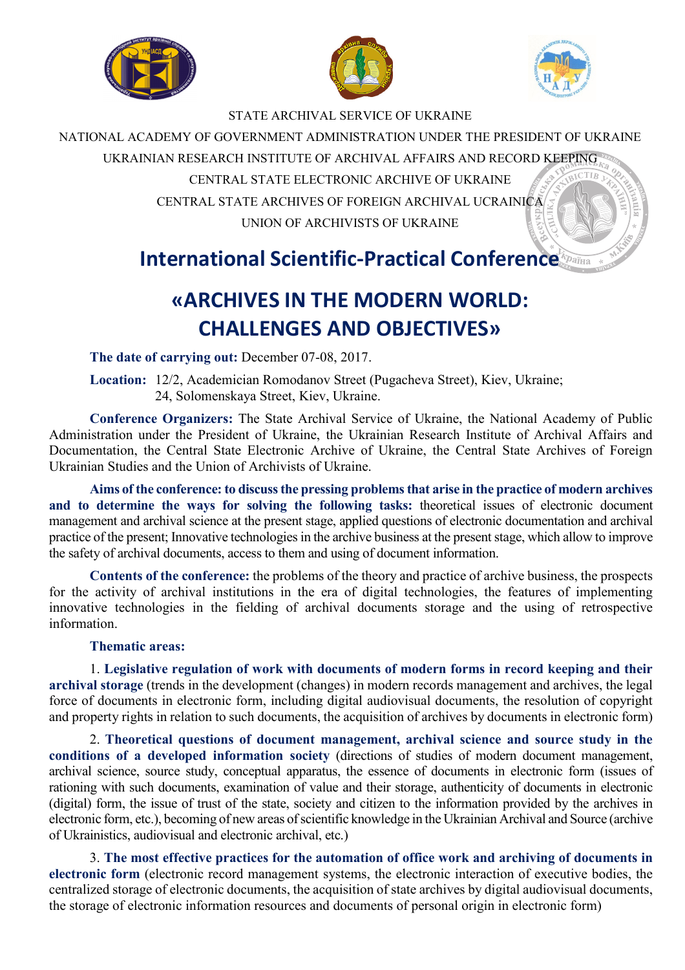





### STATE ARCHIVAL SERVICE OF UKRAINE

NATIONAL ACADEMY OF GOVERNMENT ADMINISTRATION UNDER THE PRESIDENT OF UKRAINE

UKRAINIAN RESEARCH INSTITUTE OF ARCHIVAL AFFAIRS AND RECORD KEEPING

CENTRAL STATE ELECTRONIC ARCHIVE OF UKRAINE

CENTRAL STATE ARCHIVES OF FOREIGN ARCHIVAL UCRAINICA UNION OF ARCHIVISTS OF UKRAINE

## **International Scientific-Practical Conference**

# **«ARCHIVES IN THE MODERN WORLD: CHALLENGES AND OBJECTIVES»**

**The date of carrying out:** December 07-08, 2017.

**Location:** 12/2, Academician Romodanov Street (Pugacheva Street), Kiev, Ukraine; 24, Solomenskaya Street, Kiev, Ukraine.

**Conference Organizers:** The State Archival Service of Ukraine, the National Academy of Public Administration under the President of Ukraine, the Ukrainian Research Institute of Archival Affairs and Documentation, the Central State Electronic Archive of Ukraine, the Central State Archives of Foreign Ukrainian Studies and the Union of Archivists of Ukraine.

**Aims of the conference: to discuss the pressing problems that arise in the practice of modern archives and to determine the ways for solving the following tasks:** theoretical issues of electronic document management and archival science at the present stage, applied questions of electronic documentation and archival practice of the present; Innovative technologies in the archive business at the present stage, which allow to improve the safety of archival documents, access to them and using of document information.

**Contents of the conference:** the problems of the theory and practice of archive business, the prospects for the activity of archival institutions in the era of digital technologies, the features of implementing innovative technologies in the fielding of archival documents storage and the using of retrospective information.

## **Thematic areas:**

1. **Legislative regulation of work with documents of modern forms in record keeping and their archival storage** (trends in the development (changes) in modern records management and archives, the legal force of documents in electronic form, including digital audiovisual documents, the resolution of copyright and property rights in relation to such documents, the acquisition of archives by documents in electronic form)

2. **Theoretical questions of document management, archival science and source study in the conditions of a developed information society** (directions of studies of modern document management, archival science, source study, conceptual apparatus, the essence of documents in electronic form (issues of rationing with such documents, examination of value and their storage, authenticity of documents in electronic (digital) form, the issue of trust of the state, society and citizen to the information provided by the archives in electronic form, etc.), becoming of new areas of scientific knowledge in the Ukrainian Archival and Source (archive of Ukrainistics, audiovisual and electronic archival, etc.)

3. **The most effective practices for the automation of office work and archiving of documents in electronic form** (electronic record management systems, the electronic interaction of executive bodies, the centralized storage of electronic documents, the acquisition of state archives by digital audiovisual documents, the storage of electronic information resources and documents of personal origin in electronic form)